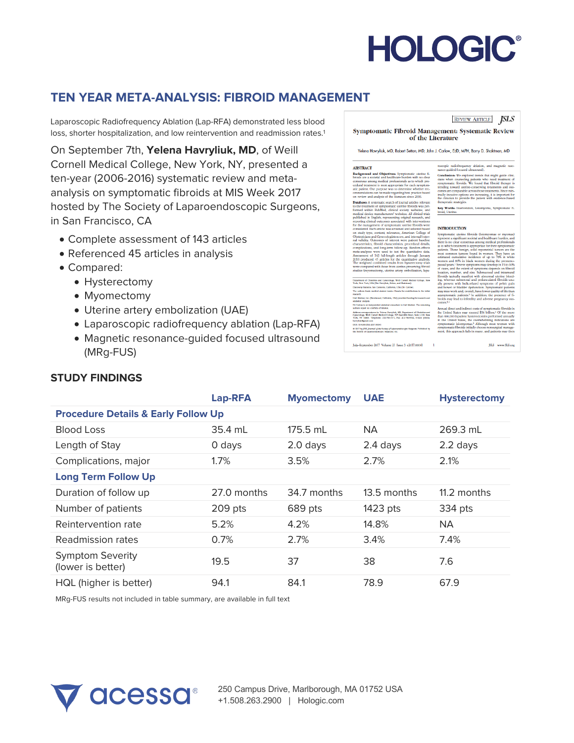# **HOLOGIC®**

# **TEN YEAR META-ANALYSIS: FIBROID MANAGEMENT**

Laparoscopic Radiofrequency Ablation (Lap-RFA) demonstrated less blood loss, shorter hospitalization, and low reintervention and readmission rates.<sup>1</sup>

On September 7th, **Yelena Havryliuk, MD**, of Weill Cornell Medical College, New York, NY, presented a ten-year (2006-2016) systematic review and metaanalysis on symptomatic fibroids at MIS Week 2017 hosted by The Society of Laparoendoscopic Surgeons, in San Francisco, CA

- Complete assessment of 143 articles
- Referenced 45 articles in analysis
- Compared:

**STUDY FINDINGS**

- Hysterectomy
- Myomectomy
- Uterine artery embolization (UAE)
- Laparoscopic radiofrequency ablation (Lap-RFA)
- Magnetic resonance-guided focused ultrasound (MRg-FUS)

## **REVIEW ARTICLE JSLS**

roscopic radiofrequency ablation, and<br>nance-guided focused ultrasound).

conclusion: We explored trends that mightains when counseling patients who need<br>symptomatic fibroids. We found that fibro<br>trending toward uterins-conserving treatment<br>tending toward uterins-conserving treatments

Symptomatic Fibroid Management: Systematic Review of the Literature

Yelena Havryliuk, MD, Robert Setton, MD, John J. Carlow, EdD, MPH, Barry D. Shaktman, MD

Key Words:<br>broid, Uterino

#### **ARSTRACT**

Rans FRACE<br>Background and Objectives: Symp<br>broids are a societal and healthcare bu re a societal and healthcare burden<br>as among medical professionals as<br>treatment is most appropriate for ex-<br>nt. Our purpose was to determine<br>lations can be made regarding best w and analysis of the literature sin e: A systematic search of journal artic

ment of symptomatic<br>ibis - BobMod - clinic

ment of Obstatrics and Gymroslegy, Welli Cornell M.<br>New York: USA (Drs Havrelisk: Setton, and Shaktman) Cholatrics and<br>alte J-130, New<br>Lenal, volves

July-September 2017 Volume 21 Issue 3 e2017.00041 1

**INTRODUCTION** 

t and indirect costs of symptomatic fibroid:<br>itates may exceed \$34 billion.5 Of the m<br>inpatient hysterectomies performed annua

ISLS www.SLS.org

|                                                | <b>Lap-RFA</b> | <b>Myomectomy</b> | <b>UAE</b>  | <b>Hysterectomy</b> |
|------------------------------------------------|----------------|-------------------|-------------|---------------------|
| <b>Procedure Details &amp; Early Follow Up</b> |                |                   |             |                     |
| <b>Blood Loss</b>                              | 35.4 mL        | 175.5 mL          | <b>NA</b>   | 269.3 mL            |
| Length of Stay                                 | 0 days         | 2.0 days          | 2.4 days    | $2.2$ days          |
| Complications, major                           | $1.7\%$        | 3.5%              | 2.7%        | 2.1%                |
| <b>Long Term Follow Up</b>                     |                |                   |             |                     |
| Duration of follow up                          | 27.0 months    | 34.7 months       | 13.5 months | 11.2 months         |
| Number of patients                             | 209 pts        | 689 pts           | 1423 pts    | 334 pts             |
| Reintervention rate                            | 5.2%           | 4.2%              | 14.8%       | <b>NA</b>           |
| Readmission rates                              | 0.7%           | 2.7%              | 3.4%        | 7.4%                |
| <b>Symptom Severity</b><br>(lower is better)   | 19.5           | 37                | 38          | 7.6                 |
| HQL (higher is better)                         | 94.1           | 84.1              | 78.9        | 67.9                |

MRg-FUS results not included in table summary, are available in full text